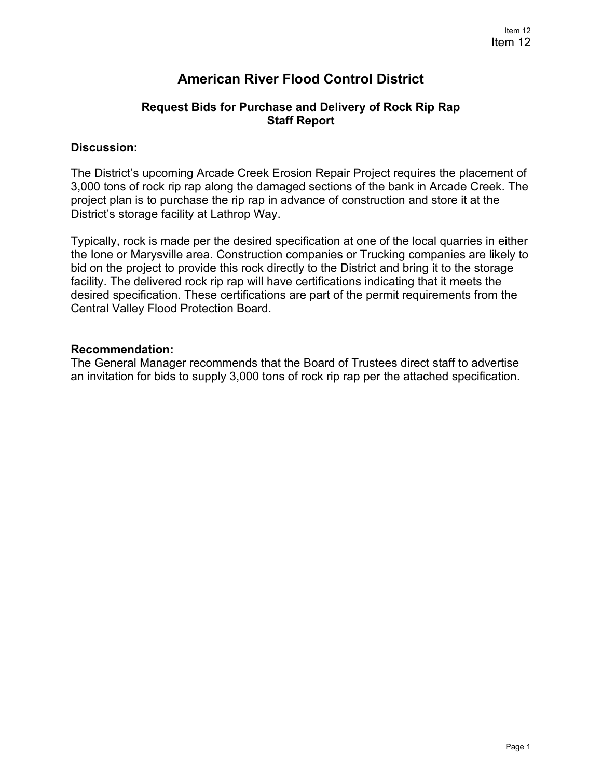# **American River Flood Control District**

## **Request Bids for Purchase and Delivery of Rock Rip Rap Staff Report**

### **Discussion:**

The District's upcoming Arcade Creek Erosion Repair Project requires the placement of 3,000 tons of rock rip rap along the damaged sections of the bank in Arcade Creek. The project plan is to purchase the rip rap in advance of construction and store it at the District's storage facility at Lathrop Way.

Typically, rock is made per the desired specification at one of the local quarries in either the Ione or Marysville area. Construction companies or Trucking companies are likely to bid on the project to provide this rock directly to the District and bring it to the storage facility. The delivered rock rip rap will have certifications indicating that it meets the desired specification. These certifications are part of the permit requirements from the Central Valley Flood Protection Board.

### **Recommendation:**

The General Manager recommends that the Board of Trustees direct staff to advertise an invitation for bids to supply 3,000 tons of rock rip rap per the attached specification.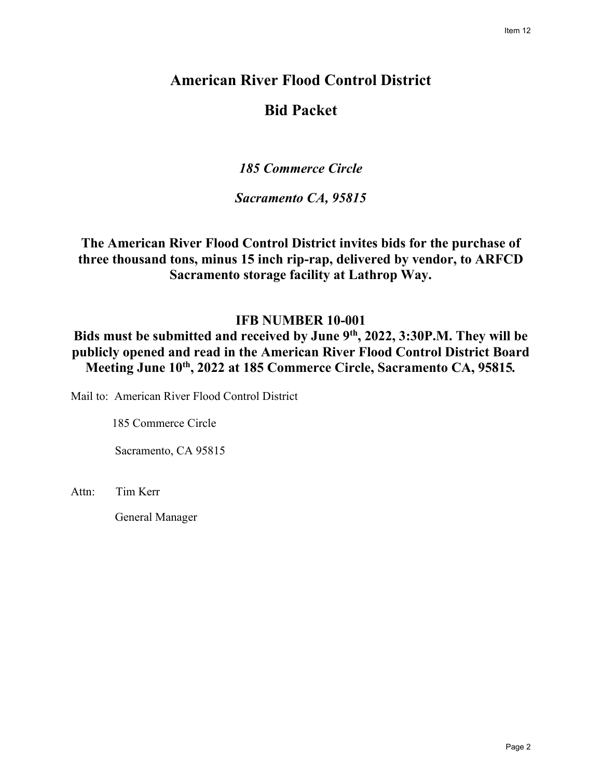# **American River Flood Control District Bid Packet**

*185 Commerce Circle*

*Sacramento CA, 95815*

**The American River Flood Control District invites bids for the purchase of three thousand tons, minus 15 inch rip-rap, delivered by vendor, to ARFCD Sacramento storage facility at Lathrop Way.** 

## **IFB NUMBER 10-001**

Bids must be submitted and received by June 9<sup>th</sup>, 2022, 3:30P.M. They will be **publicly opened and read in the American River Flood Control District Board Meeting June 10th, 2022 at 185 Commerce Circle, Sacramento CA, 95815***.* 

Mail to: American River Flood Control District

185 Commerce Circle

Sacramento, CA 95815

Attn: Tim Kerr

General Manager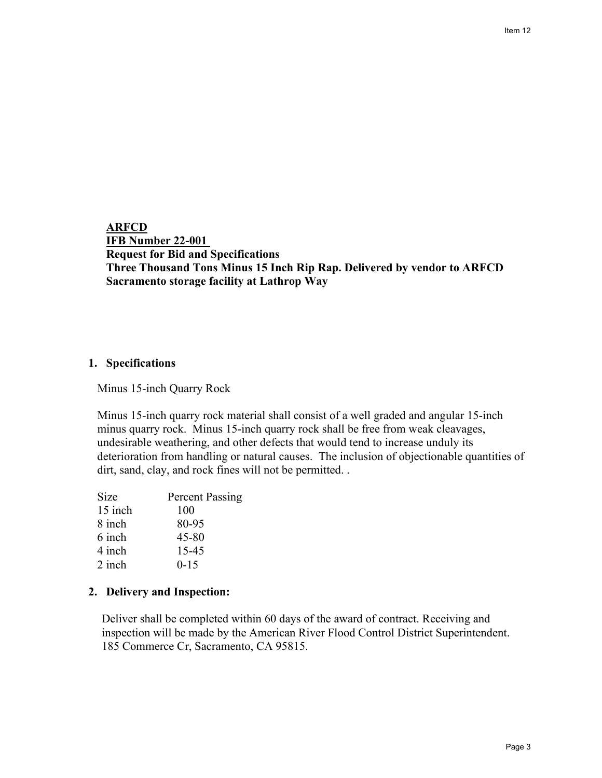Item 12

**ARFCD IFB Number 22-001 Request for Bid and Specifications Three Thousand Tons Minus 15 Inch Rip Rap. Delivered by vendor to ARFCD Sacramento storage facility at Lathrop Way** 

#### **1. Specifications**

Minus 15-inch Quarry Rock

Minus 15-inch quarry rock material shall consist of a well graded and angular 15-inch minus quarry rock. Minus 15-inch quarry rock shall be free from weak cleavages, undesirable weathering, and other defects that would tend to increase unduly its deterioration from handling or natural causes. The inclusion of objectionable quantities of dirt, sand, clay, and rock fines will not be permitted. .

| <b>Percent Passing</b> |
|------------------------|
| 100                    |
| 80-95                  |
| 45-80                  |
| $15 - 45$              |
| $0 - 15$               |
|                        |

## **2. Delivery and Inspection:**

Deliver shall be completed within 60 days of the award of contract. Receiving and inspection will be made by the American River Flood Control District Superintendent. 185 Commerce Cr, Sacramento, CA 95815.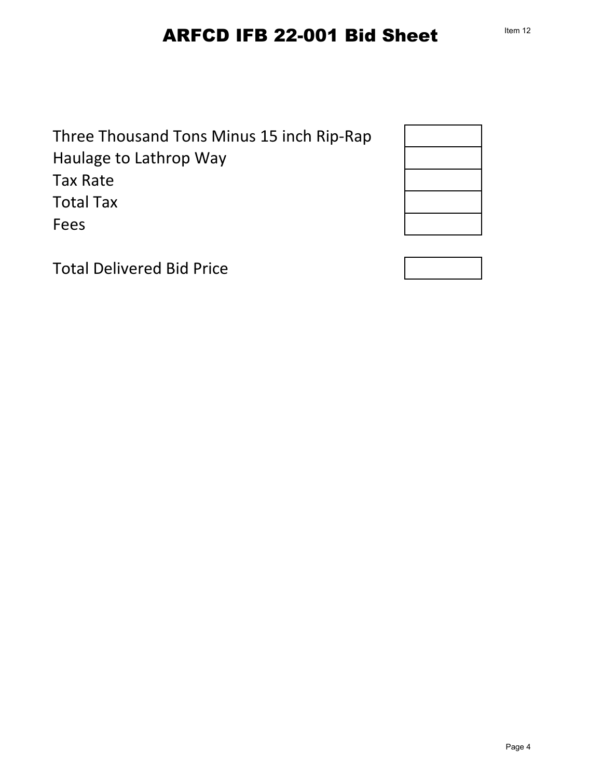# ARFCD IFB 22-001 Bid Sheet

Three Thousand Tons Minus 15 inch Rip-Rap Haulage to Lathrop Way Tax Rate Total Tax Fees



Total Delivered Bid Price